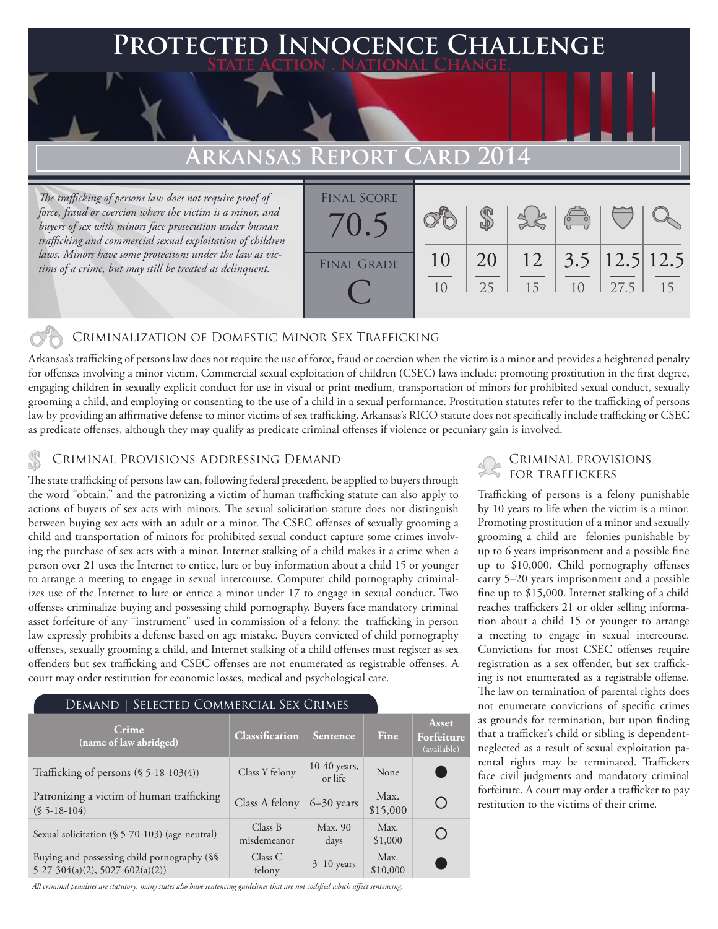### **FED INNOCENCE CHALLENGE State Action . National Change.**

## **Arkansas Report Card 2014**

*The trafficking of persons law does not require proof of force, fraud or coercion where the victim is a minor, and buyers of sex with minors face prosecution under human trafficking and commercial sexual exploitation of children laws. Minors have some protections under the law as victims of a crime, but may still be treated as delinquent.*

| <b>FINAL SCORE</b><br>70.5 |                      |           |    | $\begin{pmatrix} 0 & 0 \\ 0 & 0 \end{pmatrix}$ |      |     |
|----------------------------|----------------------|-----------|----|------------------------------------------------|------|-----|
| <b>FINAL GRADE</b>         | 10<br>1 <sub>0</sub> | 20<br>2.5 | 15 | $12 \mid 3.5 \mid 12.5 \mid 12.5$<br>10        | 27.5 | 1.5 |

### Criminalization of Domestic Minor Sex Trafficking

Arkansas's trafficking of persons law does not require the use of force, fraud or coercion when the victim is a minor and provides a heightened penalty for offenses involving a minor victim. Commercial sexual exploitation of children (CSEC) laws include: promoting prostitution in the first degree, engaging children in sexually explicit conduct for use in visual or print medium, transportation of minors for prohibited sexual conduct, sexually grooming a child, and employing or consenting to the use of a child in a sexual performance. Prostitution statutes refer to the trafficking of persons law by providing an affirmative defense to minor victims of sex trafficking. Arkansas's RICO statute does not specifically include trafficking or CSEC as predicate offenses, although they may qualify as predicate criminal offenses if violence or pecuniary gain is involved.

# CRIMINAL PROVISIONS ADDRESSING DEMAND<br>The state trafficking of persons law can following federal procedent, be applied to buyers through FOR TRAFFICKERS

The state trafficking of persons law can, following federal precedent, be applied to buyers through the word "obtain," and the patronizing a victim of human trafficking statute can also apply to actions of buyers of sex acts with minors. The sexual solicitation statute does not distinguish between buying sex acts with an adult or a minor. The CSEC offenses of sexually grooming a child and transportation of minors for prohibited sexual conduct capture some crimes involving the purchase of sex acts with a minor. Internet stalking of a child makes it a crime when a person over 21 uses the Internet to entice, lure or buy information about a child 15 or younger to arrange a meeting to engage in sexual intercourse. Computer child pornography criminalizes use of the Internet to lure or entice a minor under 17 to engage in sexual conduct. Two offenses criminalize buying and possessing child pornography. Buyers face mandatory criminal asset forfeiture of any "instrument" used in commission of a felony. the trafficking in person law expressly prohibits a defense based on age mistake. Buyers convicted of child pornography offenses, sexually grooming a child, and Internet stalking of a child offenses must register as sex offenders but sex trafficking and CSEC offenses are not enumerated as registrable offenses. A court may order restitution for economic losses, medical and psychological care.

| DEMAND   SELECTED COMMERCIAL SEX CRIMES                                          |                        |                           |                  |                                    |
|----------------------------------------------------------------------------------|------------------------|---------------------------|------------------|------------------------------------|
| Crime<br>(name of law abridged)                                                  | Classification         | Sentence                  | <b>Fine</b>      | Asset<br>Forfeiture<br>(available) |
| Trafficking of persons $(\$ 5-18-103(4))$                                        | Class Y felony         | $10-40$ years,<br>or life | None             |                                    |
| Patronizing a victim of human trafficking<br>$(S 5-18-104)$                      | Class A felony         | $6 - 30$ years            | Max.<br>\$15,000 | ( )                                |
| Sexual solicitation (§ 5-70-103) (age-neutral)                                   | Class B<br>misdemeanor | Max. 90<br>days           | Max.<br>\$1,000  |                                    |
| Buying and possessing child pornography (§§<br>$5-27-304(a)(2), 5027-602(a)(2))$ | Class C<br>felony      | $3-10$ years              | Max.<br>\$10,000 |                                    |

*All criminal penalties are statutory; many states also have sentencing guidelines that are not codified which affect sentencing.* 

Trafficking of persons is a felony punishable by 10 years to life when the victim is a minor. Promoting prostitution of a minor and sexually grooming a child are felonies punishable by up to 6 years imprisonment and a possible fine up to \$10,000. Child pornography offenses carry 5–20 years imprisonment and a possible fine up to \$15,000. Internet stalking of a child reaches traffickers 21 or older selling information about a child 15 or younger to arrange a meeting to engage in sexual intercourse. Convictions for most CSEC offenses require registration as a sex offender, but sex trafficking is not enumerated as a registrable offense. The law on termination of parental rights does not enumerate convictions of specific crimes as grounds for termination, but upon finding that a trafficker's child or sibling is dependentneglected as a result of sexual exploitation parental rights may be terminated. Traffickers face civil judgments and mandatory criminal forfeiture. A court may order a trafficker to pay restitution to the victims of their crime.